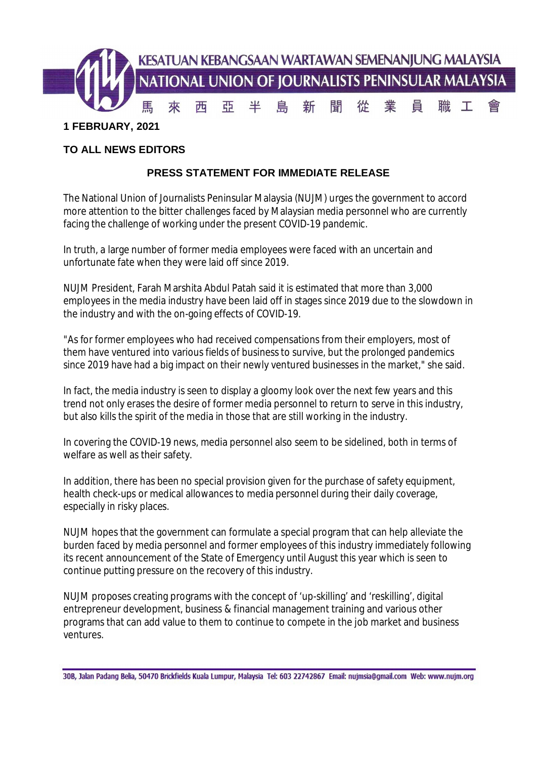

## **TO ALL NEWS EDITORS**

## **PRESS STATEMENT FOR IMMEDIATE RELEASE**

The National Union of Journalists Peninsular Malaysia (NUJM) urges the government to accord more attention to the bitter challenges faced by Malaysian media personnel who are currently facing the challenge of working under the present COVID-19 pandemic.

In truth, a large number of former media employees were faced with an uncertain and unfortunate fate when they were laid off since 2019.

NUJM President, Farah Marshita Abdul Patah said it is estimated that more than 3,000 employees in the media industry have been laid off in stages since 2019 due to the slowdown in the industry and with the on-going effects of COVID-19.

"As for former employees who had received compensations from their employers, most of them have ventured into various fields of business to survive, but the prolonged pandemics since 2019 have had a big impact on their newly ventured businesses in the market," she said.

In fact, the media industry is seen to display a gloomy look over the next few years and this trend not only erases the desire of former media personnel to return to serve in this industry, but also kills the spirit of the media in those that are still working in the industry.

In covering the COVID-19 news, media personnel also seem to be sidelined, both in terms of welfare as well as their safety.

In addition, there has been no special provision given for the purchase of safety equipment, health check-ups or medical allowances to media personnel during their daily coverage, especially in risky places.

NUJM hopes that the government can formulate a special program that can help alleviate the burden faced by media personnel and former employees of this industry immediately following its recent announcement of the State of Emergency until August this year which is seen to continue putting pressure on the recovery of this industry.

NUJM proposes creating programs with the concept of 'up-skilling' and 'reskilling', digital entrepreneur development, business & financial management training and various other programs that can add value to them to continue to compete in the job market and business ventures.

<sup>30</sup>B, Jalan Padang Belia, 50470 Brickfields Kuala Lumpur, Malaysia Tel: 603 22742867 Email: nujmsia@gmail.com Web: www.nujm.org